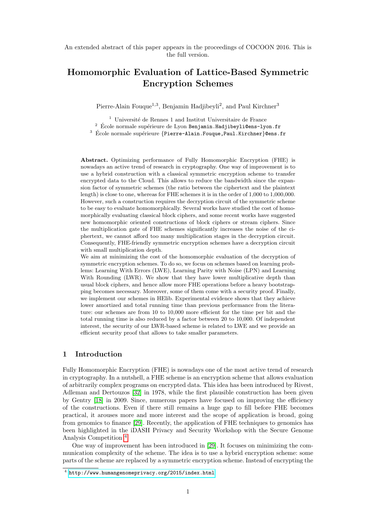An extended abstract of this paper appears in the proceedings of COCOON 2016. This is the full version.

# Homomorphic Evaluation of Lattice-Based Symmetric Encryption Schemes

Pierre-Alain Fouque<sup>1,3</sup>, Benjamin Hadjibeyli<sup>2</sup>, and Paul Kirchner<sup>3</sup>

 $^{\rm 1}$ Université de Rennes 1 and Institut Universitaire de France

 $^2\,$ École normale supérieure de Lyon Benjamin.Hadjibeyli@ens-lyon.fr

<sup>3</sup> École normale supérieure {Pierre-Alain.Fouque,Paul.Kirchner}@ens.fr

Abstract. Optimizing performance of Fully Homomorphic Encryption (FHE) is nowadays an active trend of research in cryptography. One way of improvement is to use a hybrid construction with a classical symmetric encryption scheme to transfer encrypted data to the Cloud. This allows to reduce the bandwidth since the expansion factor of symmetric schemes (the ratio between the ciphertext and the plaintext length) is close to one, whereas for FHE schemes it is in the order of 1,000 to 1,000,000. However, such a construction requires the decryption circuit of the symmetric scheme to be easy to evaluate homomorphically. Several works have studied the cost of homomorphically evaluating classical block ciphers, and some recent works have suggested new homomorphic oriented constructions of block ciphers or stream ciphers. Since the multiplication gate of FHE schemes significantly increases the noise of the ciphertext, we cannot afford too many multiplication stages in the decryption circuit. Consequently, FHE-friendly symmetric encryption schemes have a decryption circuit with small multiplication depth.

We aim at minimizing the cost of the homomorphic evaluation of the decryption of symmetric encryption schemes. To do so, we focus on schemes based on learning problems: Learning With Errors (LWE), Learning Parity with Noise (LPN) and Learning With Rounding (LWR). We show that they have lower multiplicative depth than usual block ciphers, and hence allow more FHE operations before a heavy bootstrapping becomes necessary. Moreover, some of them come with a security proof. Finally, we implement our schemes in HElib. Experimental evidence shows that they achieve lower amortized and total running time than previous performance from the literature: our schemes are from 10 to 10,000 more efficient for the time per bit and the total running time is also reduced by a factor between 20 to 10,000. Of independent interest, the security of our LWR-based scheme is related to LWE and we provide an efficient security proof that allows to take smaller parameters.

# 1 Introduction

Fully Homomorphic Encryption (FHE) is nowadays one of the most active trend of research in cryptography. In a nutshell, a FHE scheme is an encryption scheme that allows evaluation of arbitrarily complex programs on encrypted data. This idea has been introduced by Rivest, Adleman and Dertouzos [\[32\]](#page-22-0) in 1978, while the first plausible construction has been given by Gentry [\[18\]](#page-21-0) in 2009. Since, numerous papers have focused on improving the efficiency of the constructions. Even if there still remains a huge gap to fill before FHE becomes practical, it arouses more and more interest and the scope of application is broad, going from genomics to finance [\[29\]](#page-21-1). Recently, the application of FHE techniques to genomics has been highlighted in the iDASH Privacy and Security Workshop with the Secure Genome Analysis Competition<sup>[4](#page-0-0)</sup>.

One way of improvement has been introduced in [\[29\]](#page-21-1). It focuses on minimizing the communication complexity of the scheme. The idea is to use a hybrid encryption scheme: some parts of the scheme are replaced by a symmetric encryption scheme. Instead of encrypting the

<span id="page-0-0"></span><sup>4</sup> <http://www.humangenomeprivacy.org/2015/index.html>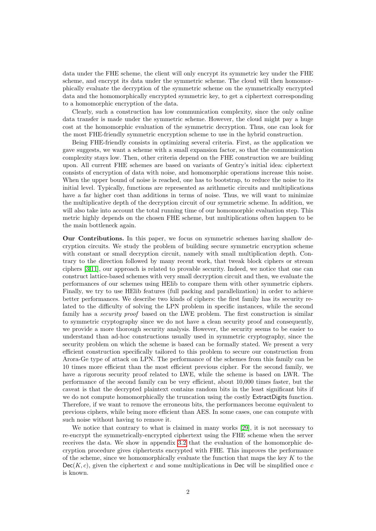data under the FHE scheme, the client will only encrypt its symmetric key under the FHE scheme, and encrypt its data under the symmetric scheme. The cloud will then homomorphically evaluate the decryption of the symmetric scheme on the symmetrically encrypted data and the homomorphically encrypted symmetric key, to get a ciphertext corresponding to a homomorphic encryption of the data.

Clearly, such a construction has low communication complexity, since the only online data transfer is made under the symmetric scheme. However, the cloud might pay a huge cost at the homomorphic evaluation of the symmetric decryption. Thus, one can look for the most FHE-friendly symmetric encryption scheme to use in the hybrid construction.

Being FHE-friendly consists in optimizing several criteria. First, as the application we gave suggests, we want a scheme with a small expansion factor, so that the communication complexity stays low. Then, other criteria depend on the FHE construction we are building upon. All current FHE schemes are based on variants of Gentry's initial idea: ciphertext consists of encryption of data with noise, and homomorphic operations increase this noise. When the upper bound of noise is reached, one has to bootstrap, to reduce the noise to its initial level. Typically, functions are represented as arithmetic circuits and multiplications have a far higher cost than additions in terms of noise. Thus, we will want to minimize the multiplicative depth of the decryption circuit of our symmetric scheme. In addition, we will also take into account the total running time of our homomorphic evaluation step. This metric highly depends on the chosen FHE scheme, but multiplications often happen to be the main bottleneck again.

Our Contributions. In this paper, we focus on symmetric schemes having shallow decryption circuits. We study the problem of building secure symmetric encryption scheme with constant or small decryption circuit, namely with small multiplication depth. Contrary to the direction followed by many recent work, that tweak block ciphers or stream ciphers [\[3,](#page-20-0)[11\]](#page-21-2), our approach is related to provable security. Indeed, we notice that one can construct lattice-based schemes with very small decryption circuit and then, we evaluate the performances of our schemes using HElib to compare them with other symmetric ciphers. Finally, we try to use HElib features (full packing and parallelization) in order to achieve better performances. We describe two kinds of ciphers: the first family has its security related to the difficulty of solving the LPN problem in specific instances, while the second family has a *security proof* based on the LWE problem. The first construction is similar to symmetric cryptography since we do not have a clean security proof and consequently, we provide a more thorough security analysis. However, the security seems to be easier to understand than ad-hoc constructions usually used in symmetric cryptography, since the security problem on which the scheme is based can be formally stated. We present a very efficient construction specifically tailored to this problem to secure our construction from Arora-Ge type of attack on LPN. The performance of the schemes from this family can be 10 times more efficient than the most efficient previous cipher. For the second family, we have a rigorous security proof related to LWE, while the scheme is based on LWR. The performance of the second family can be very efficient, about 10,000 times faster, but the caveat is that the decrypted plaintext contains random bits in the least significant bits if we do not compute homomorphically the truncation using the costly ExtractDigits function. Therefore, if we want to remove the erroneous bits, the performances become equivalent to previous ciphers, while being more efficient than AES. In some cases, one can compute with such noise without having to remove it.

We notice that contrary to what is claimed in many works [\[29\]](#page-21-1), it is not necessary to re-encrypt the symmetrically-encrypted ciphertext using the FHE scheme when the server receives the data. We show in appendix [3.2](#page-6-0) that the evaluation of the homomorphic decryption procedure gives ciphertexts encrypted with FHE. This improves the performance of the scheme, since we homomorphically evaluate the function that maps the key  $K$  to the  $Dec(K, c)$ , given the ciphertext c and some multiplications in Dec will be simplified once c is known.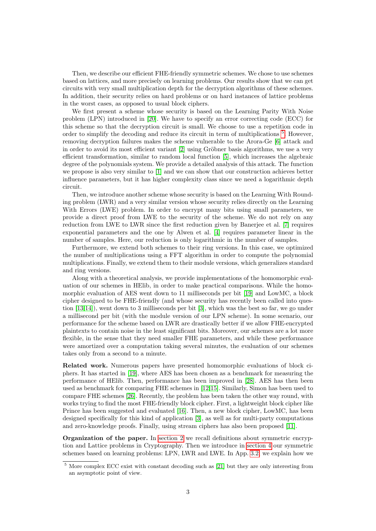Then, we describe our efficient FHE-friendly symmetric schemes. We chose to use schemes based on lattices, and more precisely on learning problems. Our results show that we can get circuits with very small multiplication depth for the decryption algorithms of these schemes. In addition, their security relies on hard problems or on hard instances of lattice problems in the worst cases, as opposed to usual block ciphers.

We first present a scheme whose security is based on the Learning Parity With Noise problem (LPN) introduced in [\[20\]](#page-21-3). We have to specify an error correcting code (ECC) for this scheme so that the decryption circuit is small. We choose to use a repetition code in order to simplify the decoding and reduce its circuit in term of multiplications <sup>[5](#page-2-0)</sup>. However, removing decryption failures makes the scheme vulnerable to the Arora-Ge [\[6\]](#page-20-1) attack and in order to avoid its most efficient variant  $[2]$  using Gröbner basis algorithms, we use a very efficient transformation, similar to random local function [\[5\]](#page-20-3), which increases the algebraic degree of the polynomials system. We provide a detailed analysis of this attack. The function we propose is also very similar to [\[1\]](#page-20-4) and we can show that our construction achieves better influence parameters, but it has higher complexity class since we need a logarithmic depth circuit.

Then, we introduce another scheme whose security is based on the Learning With Rounding problem (LWR) and a very similar version whose security relies directly on the Learning With Errors (LWE) problem. In order to encrypt many bits using small parameters, we provide a direct proof from LWE to the security of the scheme. We do not rely on any reduction from LWE to LWR since the first reduction given by Banerjee et al. [\[7\]](#page-20-5) requires exponential parameters and the one by Alwen et al. [\[4\]](#page-20-6) requires parameter linear in the number of samples. Here, our reduction is only logarithmic in the number of samples.

Furthermore, we extend both schemes to their ring versions. In this case, we optimized the number of multiplications using a FFT algorithm in order to compute the polynomial multiplications. Finally, we extend them to their module versions, which generalizes standard and ring versions.

Along with a theoretical analysis, we provide implementations of the homomorphic evaluation of our schemes in HElib, in order to make practical comparisons. While the homomorphic evaluation of AES went down to 11 milliseconds per bit [\[19\]](#page-21-4) and LowMC, a block cipher designed to be FHE-friendly (and whose security has recently been called into question [\[13,](#page-21-5)[14\]](#page-21-6)), went down to 3 milliseconds per bit [\[3\]](#page-20-0), which was the best so far, we go under a millisecond per bit (with the module version of our LPN scheme). In some scenario, our performance for the scheme based on LWR are drastically better if we allow FHE-encrypted plaintexts to contain noise in the least significant bits. Moreover, our schemes are a lot more flexible, in the sense that they need smaller FHE parameters, and while these performance were amortized over a computation taking several minutes, the evaluation of our schemes takes only from a second to a minute.

Related work. Numerous papers have presented homomorphic evaluations of block ciphers. It has started in [\[19\]](#page-21-4), where AES has been chosen as a benchmark for measuring the performance of HElib. Then, performance has been improved in [\[28\]](#page-21-7). AES has then been used as benchmark for comparing FHE schemes in [\[12,](#page-21-8)[15\]](#page-21-9). Similarly, Simon has been used to compare FHE schemes [\[26\]](#page-21-10). Recently, the problem has been taken the other way round, with works trying to find the most FHE-friendly block cipher. First, a lightweight block cipher like Prince has been suggested and evaluated [\[16\]](#page-21-11). Then, a new block cipher, LowMC, has been designed specifically for this kind of application [\[3\]](#page-20-0), as well as for multi-party computations and zero-knowledge proofs. Finally, using stream ciphers has also been proposed [\[11\]](#page-21-2).

Organization of the paper. In [section 2](#page-3-0) we recall definitions about symmetric encryption and Lattice problems in Cryptography. Then we introduce in [section 4](#page-7-0) our symmetric schemes based on learning problems: LPN, LWR and LWE. In App. [3.2,](#page-6-0) we explain how we

<span id="page-2-0"></span><sup>&</sup>lt;sup>5</sup> More complex ECC exist with constant decoding such as [\[21\]](#page-21-12) but they are only interesting from an asymptotic point of view.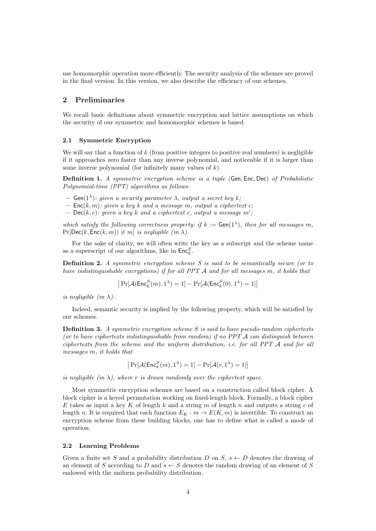use homomorphic operation more efficiently. The security analysis of the schemes are proved in the final version. In this version, we also describe the efficiency of our schemes.

# <span id="page-3-0"></span>2 Preliminaries

We recall basic definitions about symmetric encryption and lattice assumptions on which the security of our symmetric and homomorphic schemes is based.

### 2.1 Symmetric Encryption

We will say that a function of  $k$  (from positive integers to positive real numbers) is negligible if it approaches zero faster than any inverse polynomial, and noticeable if it is larger than some inverse polynomial (for infinitely many values of  $k$ ).

**Definition 1.** A symmetric encryption scheme is a tuple (Gen, Enc. Dec) of Probabilistic Polynomial-time (PPT) algorithms as follows:

- $-$  Gen(1<sup> $\lambda$ </sup>): given a security parameter  $\lambda$ , output a secret key k;
- $-$  Enc(k, m): given a key k and a message m, output a ciphertext c:
- $-$  Dec $(k, c)$ : given a key k and a ciphertext c, output a message m';

which satisfy the following correctness property: if  $k := Gen(1^{\lambda})$ , then for all messages m,  $Pr[Dec(k, Enc(k, m)) \neq m]$  is negligible (in  $\lambda$ ).

For the sake of clarity, we will often write the key as a subscript and the scheme name as a superscript of our algorithms, like in  $Enc_k^S$ .

**Definition 2.** A symmetric encryption scheme  $S$  is said to be semantically secure (or to have indistinguishable encryptions) if for all PPT A and for all messages m, it holds that

 $\left| \Pr[\mathcal{A}(\mathsf{Enc}_{k}^{S}(m), 1^{\lambda}) = 1] - \Pr[\mathcal{A}(\mathsf{Enc}_{k}^{S}(0), 1^{\lambda}) = 1] \right|$ 

is negligible (in  $\lambda$ ).

Indeed, semantic security is implied by the following property, which will be satisfied by our schemes.

**Definition 3.** A symmetric encryption scheme S is said to have pseudo-random ciphertexts (or to have ciphertexts indistinguishable from random) if no  $PPTA$  can distinguish between ciphertexts from the scheme and the uniform distribution, i.e. for all  $PPT\mathcal{A}$  and for all messages m, it holds that

$$
\left| \Pr[\mathcal{A}(\mathsf{Enc}_{k}^{S}(m), 1^{\lambda}) = 1] - \Pr[\mathcal{A}(r, 1^{\lambda}) = 1] \right|
$$

is negligible (in  $\lambda$ ), where r is drawn randomly over the ciphertext space.

Most symmetric encryption schemes are based on a construction called block cipher. A block cipher is a keyed permutation working on fixed-length block. Formally, a block cipher E takes as input a key K of length k and a string m of length n and outputs a string c of length n. It is required that each function  $E_K : m \to E(K,m)$  is invertible. To construct an encryption scheme from these building blocks, one has to define what is called a mode of operation.

# 2.2 Learning Problems

Given a finite set S and a probability distribution D on  $S, s \leftarrow D$  denotes the drawing of an element of S according to D and  $s \leftarrow S$  denotes the random drawing of an element of S endowed with the uniform probability distribution.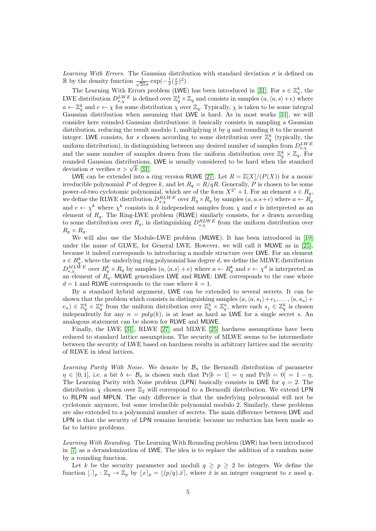Learning With Errors. The Gaussian distribution with standard deviation  $\sigma$  is defined on R by the density function  $\frac{1}{\sqrt{2}}$  $\frac{1}{2\pi\sigma}\exp(-\frac{1}{2}(\frac{x}{\sigma})^2).$ 

The Learning With Errors problem (LWE) has been introduced in [\[31\]](#page-21-13). For  $s \in \mathbb{Z}_q^k$ , the LWE distribution  $D_{s,\chi}^{LWE}$  is defined over  $\mathbb{Z}_q^k \times \mathbb{Z}_q$  and consists in samples  $(a, \langle a, s \rangle + e)$  where  $a \leftarrow \mathbb{Z}_q^k$  and  $e \leftarrow \chi$  for some distribution  $\chi$  over  $\mathbb{Z}_q$ . Typically,  $\chi$  is taken to be some integral Gaussian distribution when assuming that LWE is hard. As in most works [\[31\]](#page-21-13), we will consider here rounded Gaussian distributions: it basically consists in sampling a Gaussian distribution, reducing the result modulo 1, multiplying it by  $q$  and rounding it to the nearest integer. LWE consists, for s chosen according to some distribution over  $\mathbb{Z}_q^k$  (typically, the uniform distribution), in distinguishing between any desired number of samples from  $D_{s,\chi}^{LWE}$ and the same number of samples drawn from the uniform distribution over  $\mathbb{Z}_q^k \times \mathbb{Z}_q$ . For rounded Gaussian distributions, LWE is usually considered to be hard when the standard rounded Gaussian distributions,<br>deviation σ verifies σ >  $\sqrt{k}$  [\[31\]](#page-21-13).

LWE can be extended into a ring version RLWE [\[27\]](#page-21-14). Let  $R = \mathbb{Z}[X]/(P(X))$  for a monic irreducible polynomial P of degree k, and let  $R_q = R/qR$ . Generally, P is chosen to be some power-of-two cyclotomic polynomial, which are of the form  $X^{2^z} + 1$ . For an element  $s \in R_q$ , we define the RLWE distribution  $D_{s,\chi}^{RLWE}$  over  $R_q \times R_q$  by samples  $(a, a.s + e)$  where  $a \leftarrow R_q$ and  $e \leftarrow \chi^k$  where  $\chi^k$  consists in k independent samples from  $\chi$  and e is interpreted as an element of  $R_q$ . The Ring-LWE problem (RLWE) similarly consists, for s drawn according to some distribution over  $R_q$ , in distinguishing  $D_{s,\chi}^{RLWE}$  from the uniform distribution over  $R_q \times R_q$ .

We will also use the Module-LWE problem (MLWE). It has been introduced in [\[10\]](#page-21-15) under the name of GLWE, for General LWE. However, we will call it MLWE as in [\[25\]](#page-21-16), because it indeed corresponds to introducing a module structure over LWE. For an element  $s \in R_q^k$ , where the underlying ring polynomial has degree d, we define the MLWE distribution  $D_{s,\chi}^{MLWE}$  over  $R_q^k \times R_q$  by samples  $(a, \langle a.s \rangle + e)$  where  $a \leftarrow R_q^k$  and  $e \leftarrow \chi^d$  is interpreted as an element of  $R_q$ . MLWE generalizes LWE and RLWE: LWE corresponds to the case where  $d = 1$  and RLWE corresponds to the case where  $k = 1$ .

By a standard hybrid argument, LWE can be extended to several secrets. It can be shown that the problem which consists in distinguishing samples  $(a, \langle a, s_1 \rangle + e_1, \ldots, \langle a, s_n \rangle +$  $(e_n) \in \mathbb{Z}_q^k \times \mathbb{Z}_q^n$  from the uniform distribution over  $\mathbb{Z}_q^k \times \mathbb{Z}_q^n$ , where each  $s_j \in \mathbb{Z}_q^k$  is chosen independently for any  $n = poly(k)$ , is at least as hard as LWE for a single secret s. An analogous statement can be shown for RLWE and MLWE.

Finally, the LWE [\[31\]](#page-21-13), RLWE [\[27\]](#page-21-14) and MLWE [\[25\]](#page-21-16) hardness assumptions have been reduced to standard lattice assumptions. The security of MLWE seems to be intermediate between the security of LWE based on hardness results in arbitrary lattices and the security of RLWE in ideal lattices.

Learning Parity With Noise. We denote by  $\mathcal{B}_\eta$  the Bernoulli distribution of parameter  $\eta \in [0,1],$  i.e. a bit  $b \leftarrow \mathcal{B}_\eta$  is chosen such that  $\Pr[b=1] = \eta$  and  $\Pr[b=0] = 1 - \eta$ . The Learning Parity with Noise problem (LPN) basically consists in LWE for  $q = 2$ . The distribution  $\chi$  chosen over  $\mathbb{Z}_2$  will correspond to a Bernoulli distribution. We extend LPN to RLPN and MPLN. The only difference is that the underlying polynomial will not be cyclotomic anymore, but some irreducible polynomial modulo 2. Similarly, these problems are also extended to a polynomial number of secrets. The main difference between LWE and LPN is that the security of LPN remains heuristic because no reduction has been made so far to lattice problems.

Learning With Rounding. The Learning With Rounding problem (LWR) has been introduced in [\[7\]](#page-20-5) as a derandomization of LWE. The idea is to replace the addition of a random noise by a rounding function.

Let k be the security parameter and moduli  $q \geq p \geq 2$  be integers. We define the function  $\lfloor . \rceil_p : \mathbb{Z}_q \to \mathbb{Z}_p$  by  $\lfloor x \rceil_p = \lfloor (p/q) . \bar{x} \rceil$ , where  $\bar{x}$  is an integer congruent to x mod q.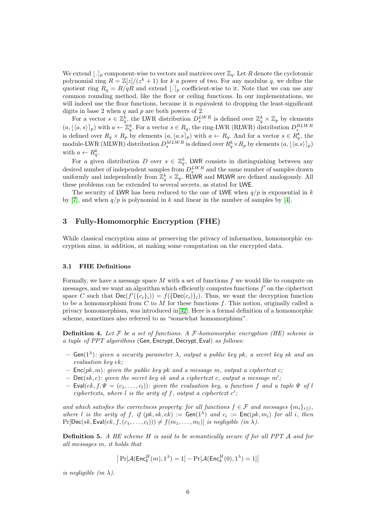We extend  $\lfloor . \rceil_p$  component-wise to vectors and matrices over  $\mathbb{Z}_q$ . Let R denote the cyclotomic polynomial ring  $R = \mathbb{Z}[z]/(z^k + 1)$  for k a power of two. For any modulus q, we define the quotient ring  $R_q = R/qR$  and extend  $\lfloor . \rceil_p$  coefficient-wise to it. Note that we can use any common rounding method, like the floor or ceiling functions. In our implementations, we will indeed use the floor functions, because it is equivalent to dropping the least-significant digits in base 2 when  $q$  and  $p$  are both powers of 2.

For a vector  $s \in \mathbb{Z}_q^k$ , the LWR distribution  $D_s^{LWR}$  is defined over  $\mathbb{Z}_q^k \times \mathbb{Z}_p$  by elements  $(a, \lfloor \langle a, s \rangle \rfloor_p)$  with  $a \leftarrow \mathbb{Z}_q^k$ . For a vector  $s \in R_q$ , the ring-LWR (RLWR) distribution  $D_s^{RLWR}$ is defined over  $R_q \times R_p$  by elements  $(a, \lfloor a.s \rfloor_p)$  with  $a \leftarrow R_q$ . And for a vector  $s \in R_q^k$ , the module-LWR (MLWR) distribution  $D_s^{MLWR}$  is defined over  $R_q^k \times R_p$  by elements  $(a, \lfloor \langle a.s \rangle \rfloor_p)$ with  $a \leftarrow R_q^k$ .

For a given distribution D over  $s \in \mathbb{Z}_q^k$ , LWR consists in distinguishing between any desired number of independent samples from  $D_s^{LWR}$  and the same number of samples drawn uniformly and independently from  $\mathbb{Z}_q^k \times \mathbb{Z}_p$ . RLWR and MLWR are defined analogously. All these problems can be extended to several secrets, as stated for LWE.

The security of LWR has been reduced to the one of LWE when  $q/p$  is exponential in k by [\[7\]](#page-20-5), and when  $q/p$  is polynomial in k and linear in the number of samples by [\[4\]](#page-20-6).

# 3 Fully-Homomorphic Encryption (FHE)

While classical encryption aims at preserving the privacy of information, homomorphic encryption aims, in addition, at making some computation on the encrypted data.

### 3.1 FHE Definitions

Formally, we have a message space  $M$  with a set of functions  $f$  we would like to compute on messages, and we want an algorithm which efficiently computes functions  $f'$  on the ciphertext space C such that  $\mathsf{Dec}(f'(\{c_i\}_i)) = f(\{\mathsf{Dec}(c_i)\}_i)$ . Thus, we want the decryption function to be a homomorphism from  $C$  to  $M$  for these functions f. This notion, originally called a privacy homomorphism, was introduced in[\[32\]](#page-22-0). Here is a formal definition of a homomorphic scheme, sometimes also referred to as "somewhat homomorphism".

**Definition 4.** Let  $\mathcal F$  be a set of functions. A  $\mathcal F$ -homomorphic encryption (HE) scheme is a tuple of PPT algorithms (Gen, Encrypt, Decrypt, Eval) as follows:

- $-$  Gen(1<sup> $\lambda$ </sup>): given a security parameter  $\lambda$ , output a public key pk, a secret key sk and an evaluation key ek;
- $-$  Enc(pk, m): given the public key pk and a message m, output a ciphertext c;
- $-$  Dec(sk, c): given the secret key sk and a ciphertext c, output a message m',
- Eval $(ek, f, \Psi = (c_1, \ldots, c_l))$ : given the evaluation key, a function f and a tuple  $\Psi$  of l ciphertexts, where  $l$  is the arity of  $f$ , output a ciphertext  $c'$ ;

and which satisfies the correctness property: for all functions  $f \in \mathcal{F}$  and messages  $\{m_i\}_{i \leq l}$ , where l is the arity of f, if  $(pk, sk, ek) := Gen(1^{\lambda})$  and  $c_i := Enc(pk, m_i)$  for all i, then  $Pr[Dec(sk,Eval(ek, f, (c_1, \ldots, c_l))) \neq f(m_1, \ldots, m_l)]$  is negligible (in  $\lambda$ ).

**Definition 5.** A HE scheme H is said to be semantically secure if for all PPT  $A$  and for all messages m, it holds that

$$
\left| \Pr[\mathcal{A}(\mathsf{Enc}_{k}^{H}(m), 1^{\lambda}) = 1] - \Pr[\mathcal{A}(\mathsf{Enc}_{k}^{H}(0), 1^{\lambda}) = 1] \right|
$$

is negligible (in  $\lambda$ ).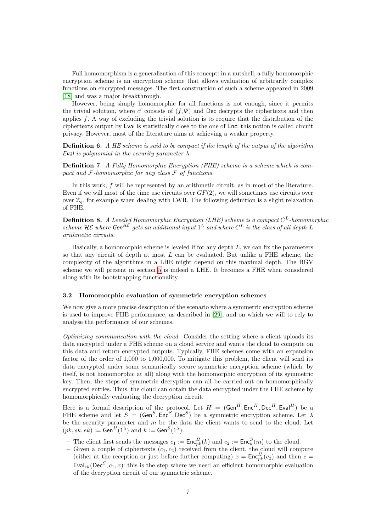Full homomorphism is a generalization of this concept: in a nutshell, a fully homomorphic encryption scheme is an encryption scheme that allows evaluation of arbitrarily complex functions on encrypted messages. The first construction of such a scheme appeared in 2009 [\[18\]](#page-21-0) and was a major breakthrough.

However, being simply homomorphic for all functions is not enough, since it permits the trivial solution, where c' consists of  $(f, \Psi)$  and Dec decrypts the ciphertexts and then applies f. A way of excluding the trivial solution is to require that the distribution of the ciphertexts output by Eval is statistically close to the one of Enc: this notion is called circuit privacy. However, most of the literature aims at achieving a weaker property.

**Definition 6.** A HE scheme is said to be compact if the length of the output of the algorithm Eval is polynomial in the security parameter  $\lambda$ .

Definition 7. A Fully Homomorphic Encryption (FHE) scheme is a scheme which is compact and  $\mathcal F$ -homomorphic for any class  $\mathcal F$  of functions.

In this work, f will be represented by an arithmetic circuit, as in most of the literature. Even if we will most of the time use circuits over  $GF(2)$ , we will sometimes use circuits over over  $\mathbb{Z}_q$ , for example when dealing with LWR. The following definition is a slight relaxation of FHE.

**Definition 8.** A Leveled Homomorphic Encryption (LHE) scheme is a compact  $C^L$ -homomorphic scheme HE where Gen<sup>HE</sup> gets an additional input  $1^L$  and where  $C^L$  is the class of all depth-L arithmetic circuits.

Basically, a homomorphic scheme is leveled if for any depth  $L$ , we can fix the parameters so that any circuit of depth at most  $L$  can be evaluated. But unlike a FHE scheme, the complexity of the algorithms in a LHE might depend on this maximal depth. The BGV scheme we will present in section [5](#page-13-0) is indeed a LHE. It becomes a FHE when considered along with its bootstrapping functionality.

#### <span id="page-6-0"></span>3.2 Homomorphic evaluation of symmetric encryption schemes

We now give a more precise description of the scenario where a symmetric encryption scheme is used to improve FHE performance, as described in [\[29\]](#page-21-1), and on which we will to rely to analyse the performance of our schemes.

<span id="page-6-1"></span>Optimizing communication with the cloud. Consider the setting where a client uploads its data encrypted under a FHE scheme on a cloud service and wants the cloud to compute on this data and return encrypted outputs. Typically, FHE schemes come with an expansion factor of the order of 1,000 to 1,000,000. To mitigate this problem, the client will send its data encrypted under some semantically secure symmetric encryption scheme (which, by itself, is not homomorphic at all) along with the homomorphic encryption of its symmetric key. Then, the steps of symmetric decryption can all be carried out on homomorphically encrypted entries. Thus, the cloud can obtain the data encrypted under the FHE scheme by homomorphically evaluating the decryption circuit.

Here is a formal description of the protocol. Let  $H = (\mathsf{Gen}^H, \mathsf{Enc}^H, \mathsf{Dec}^H, \mathsf{Eval}^H)$  be a FHE scheme and let  $S = (Gen^S, Enc^S, Dec^S)$  be a symmetric encryption scheme. Let  $\lambda$ be the security parameter and  $m$  be the data the client wants to send to the cloud. Let  $(pk, sk, ek) := Gen^H(1^{\lambda})$  and  $k := Gen^S(1^{\lambda})$ .

- The client first sends the messages  $c_1 := \text{Enc}_{pk}^H(k)$  and  $c_2 := \text{Enc}_{k}^S(m)$  to the cloud.

– Given a couple of ciphertexts  $(c_1, c_2)$  received from the client, the cloud will compute (either at the reception or just before further computing)  $x = \text{Enc}_{pk}^{H}(c_2)$  and then  $c =$ Eval<sub>ek</sub>(Dec<sup>S</sup>,  $c_1$ , x): this is the step where we need an efficient homomorphic evaluation of the decryption circuit of our symmetric scheme.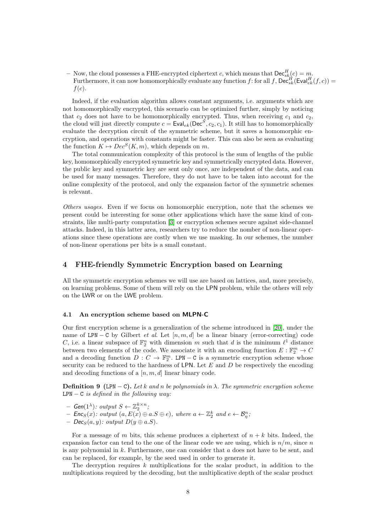- Now, the cloud possesses a FHE-encrypted ciphertext c, which means that  $\text{Dec}_{sk_{\mathcal{U}}}^H(c) = m$ . Furthermore, it can now homomorphically evaluate any function f: for all f,  $\text{Dec}_{sk}^H(\text{Eval}_{ek}^H(f, c))$  $f(c).$ 

Indeed, if the evaluation algorithm allows constant arguments, i.e. arguments which are not homomorphically encrypted, this scenario can be optimized further, simply by noticing that  $c_2$  does not have to be homomorphically encrypted. Thus, when receiving  $c_1$  and  $c_2$ , the cloud will just directly compute  $c = \text{Eval}_{ek}(\text{Dec}^S, c_2, c_1)$ . It still has to homomorphically evaluate the decryption circuit of the symmetric scheme, but it saves a homomorphic encryption, and operations with constants might be faster. This can also be seen as evaluating the function  $K \mapsto Dec^{S}(K, m)$ , which depends on m.

The total communication complexity of this protocol is the sum of lengths of the public key, homomorphically encrypted symmetric key and symmetrically encrypted data. However, the public key and symmetric key are sent only once, are independent of the data, and can be used for many messages. Therefore, they do not have to be taken into account for the online complexity of the protocol, and only the expansion factor of the symmetric schemes is relevant.

Others usages. Even if we focus on homomorphic encryption, note that the schemes we present could be interesting for some other applications which have the same kind of constraints, like multi-party computation [\[3\]](#page-20-0) or encryption schemes secure against side-channel attacks. Indeed, in this latter area, researchers try to reduce the nomber of non-linear operations since these operations are costly when we use masking. In our schemes, the number of non-linear operations per bits is a small constant.

# <span id="page-7-0"></span>4 FHE-friendly Symmetric Encryption based on Learning

All the symmetric encryption schemes we will use are based on lattices, and, more precisely, on learning problems. Some of them will rely on the LPN problem, while the others will rely on the LWR or on the LWE problem.

#### 4.1 An encryption scheme based on MLPN-C

Our first encryption scheme is a generalization of the scheme introduced in [\[20\]](#page-21-3), under the name of LPN – C by Gilbert *et al.* Let  $[n, m, d]$  be a linear binary (error-correcting) code C, i.e. a linear subspace of  $\mathbb{F}_2^n$  with dimension m such that d is the minimum  $\ell^1$  distance between two elements of the code. We associate it with an encoding function  $E: \mathbb{F}_2^m \to C$ and a decoding function  $D: C \to \mathbb{F}_2^m$ . LPN – C is a symmetric encryption scheme whose security can be reduced to the hardness of LPN. Let  $E$  and  $D$  be respectively the encoding and decoding functions of a  $[n, m, d]$  linear binary code.

**Definition 9** (LPN – C). Let k and n be polynomials in  $\lambda$ . The symmetric encryption scheme  $LPN - C$  is defined in the following way:

- $-$  Gen(1<sup> $\lambda$ </sup>): output  $S \leftarrow \mathbb{Z}_2^{k \times n}$ ;
- $-$  Enc<sub>S</sub>(x): output  $(a, E(x) \oplus a.S \oplus e)$ , where  $a \leftarrow \mathbb{Z}_2^k$  and  $e \leftarrow \mathcal{B}_\eta^n$ ,
- $\text{Dec}_S(a, y)$ : output  $D(y \oplus a.S)$ .

For a message of m bits, this scheme produces a ciphertext of  $n + k$  bits. Indeed, the expansion factor can tend to the one of the linear code we are using, which is  $n/m$ , since n is any polynomial in  $k$ . Furthermore, one can consider that  $a$  does not have to be sent, and can be replaced, for example, by the seed used in order to generate it.

The decryption requires  $k$  multiplications for the scalar product, in addition to the multiplications required by the decoding, but the multiplicative depth of the scalar product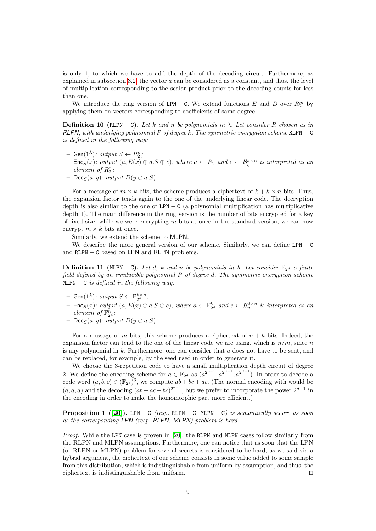is only 1, to which we have to add the depth of the decoding circuit. Furthermore, as explained in subsection [3.2,](#page-6-1) the vector  $a$  can be considered as a constant, and thus, the level of multiplication corresponding to the scalar product prior to the decoding counts for less than one.

We introduce the ring version of LPN – C. We extend functions E and D over  $R_2^m$  by applying them on vectors corresponding to coefficients of same degree.

**Definition 10** (RLPN – C). Let k and n be polynomials in  $\lambda$ . Let consider R chosen as in RLPN, with underlying polynomial P of degree k. The symmetric encryption scheme RLPN  $-$  C is defined in the following way:

- $-$  Gen $(1^{\lambda})$ :  $output\;S\leftarrow R_{2}^{n};$
- $-$  Enc<sub>S</sub>(x): output  $(a, E(x) \oplus a.S \oplus e)$ , where  $a \leftarrow R_2$  and  $e \leftarrow \mathcal{B}_\eta^{k \times n}$  is interpreted as an element of  $R_2^n$ ;
- $\nDec<sub>S</sub>(a, y): output D(y \oplus a.S).$

For a message of  $m \times k$  bits, the scheme produces a ciphertext of  $k + k \times n$  bits. Thus, the expansion factor tends again to the one of the underlying linear code. The decryption depth is also similar to the one of  $LPN - C$  (a polynomial multiplication has multiplicative depth 1). The main difference in the ring version is the number of bits encrypted for a key of fixed size: while we were encrypting  $m$  bits at once in the standard version, we can now encrypt  $m \times k$  bits at once.

Similarly, we extend the scheme to MLPN.

We describe the more general version of our scheme. Similarly, we can define LPN − C and  $RLPN - C$  based on  $LPN$  and  $RLPN$  problems.

**Definition 11** (MLPN – C). Let d, k and n be polynomials in  $\lambda$ . Let consider  $\mathbb{F}_{2^d}$  a finite field defined by an irreducible polynomial P of degree d. The symmetric encryption scheme  $MLPN - C$  is defined in the following way:

- $-$  Gen $(1^{\lambda})$ : output  $S \leftarrow \mathbb{F}_{2^d}^{k \times n}$ ;
- $-$  Enc<sub>S</sub>(x): output  $(a, E(x) \oplus a.S \oplus e)$ , where  $a \leftarrow \mathbb{F}_{2^d}^k$  and  $e \leftarrow \mathcal{B}_{\eta}^{d \times n}$  is interpreted as an element of  $\mathbb{F}_{2^d}^n$ ;
- $-$  Dec<sub>S</sub>(a, y): output  $D(y \oplus a.S)$ .

For a message of m bits, this scheme produces a ciphertext of  $n + k$  bits. Indeed, the expansion factor can tend to the one of the linear code we are using, which is  $n/m$ , since n is any polynomial in  $k$ . Furthermore, one can consider that  $a$  does not have to be sent, and can be replaced, for example, by the seed used in order to generate it.

We choose the 3-repetition code to have a small multiplication depth circuit of degree 2. We define the encoding scheme for  $a \in \mathbb{F}_{2^d}$  as  $(a^{2^{d-1}}, a^{2^{d-1}}, a^{2^{d-1}})$ . In order to decode a code word  $(a, b, c) \in (\mathbb{F}_{2^d})^3$ , we compute  $ab + bc + ac$ . (The normal encoding with would be  $(a, a, a)$  and the decoding  $(ab + ac + bc)^{2^{d-1}}$ , but we prefer to incorporate the power  $2^{d-1}$  in the encoding in order to make the homomorphic part more efficient.)

**Proposition 1** ([\[20\]](#page-21-3)). LPN – C (resp. RLPN – C, MLPN – C) is semantically secure as soon as the corresponding LPN (resp. RLPN, MLPN) problem is hard.

Proof. While the LPN case is proven in [\[20\]](#page-21-3), the RLPN and MLPN cases follow similarly from the RLPN and MLPN assumptions. Furthermore, one can notice that as soon that the LPN (or RLPN or MLPN) problem for several secrets is considered to be hard, as we said via a hybrid argument, the ciphertext of our scheme consists in some value added to some sample from this distribution, which is indistinguishable from uniform by assumption, and thus, the ciphertext is indistinguishable from uniform.  $\Box$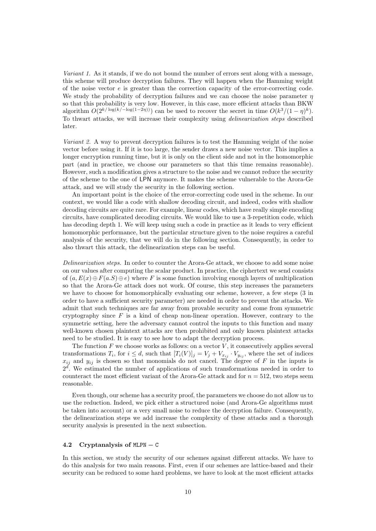Variant 1. As it stands, if we do not bound the number of errors sent along with a message, this scheme will produce decryption failures. They will happen when the Hamming weight of the noise vector  $e$  is greater than the correction capacity of the error-correcting code. We study the probability of decryption failures and we can choose the noise parameter  $\eta$ so that this probability is very low. However, in this case, more efficient attacks than BKW algorithm  $O(2^{k/\log(k/\log(1-2\eta))})$  can be used to recover the secret in time  $O(k^3/(1-\eta)^k)$ . To thwart attacks, we will increase their complexity using delinearization steps described later.

Variant 2. A way to prevent decryption failures is to test the Hamming weight of the noise vector before using it. If it is too large, the sender draws a new noise vector. This implies a longer encryption running time, but it is only on the client side and not in the homomorphic part (and in practice, we choose our parameters so that this time remains reasonable). However, such a modification gives a structure to the noise and we cannot reduce the security of the scheme to the one of LPN anymore. It makes the scheme vulnerable to the Arora-Ge attack, and we will study the security in the following section.

An important point is the choice of the error-correcting code used in the scheme. In our context, we would like a code with shallow decoding circuit, and indeed, codes with shallow decoding circuits are quite rare. For example, linear codes, which have really simple encoding circuits, have complicated decoding circuits. We would like to use a 3-repetition code, which has decoding depth 1. We will keep using such a code in practice as it leads to very efficient homomorphic performance, but the particular structure given to the noise requires a careful analysis of the security, that we will do in the following section. Consequently, in order to also thwart this attack, the delinearization steps can be useful.

Delinearization steps. In order to counter the Arora-Ge attack, we choose to add some noise on our values after computing the scalar product. In practice, the ciphertext we send consists of  $(a, E(x) \oplus F(a, S) \oplus e)$  where F is some function involving enough layers of multiplication so that the Arora-Ge attack does not work. Of course, this step increases the parameters we have to choose for homomorphically evaluating our scheme, however, a few steps (3 in order to have a sufficient security parameter) are needed in order to prevent the attacks. We admit that such techniques are far away from provable security and come from symmetric cryptography since  $F$  is a kind of cheap non-linear operation. However, contrary to the symmetric setting, here the adversary cannot control the inputs to this function and many well-known chosen plaintext attacks are then prohibited and only known plaintext attacks need to be studied. It is easy to see how to adapt the decryption process.

The function  $F$  we choose works as follows: on a vector  $V$ , it consecutively applies several transformations  $T_i$ , for  $i \leq d$ , such that  $[T_i(V)]_j = V_j + V_{x_{ij}} \cdot V_{y_{ij}}$ , where the set of indices  $x_{ij}$  and  $y_{ij}$  is chosen so that monomials do not cancel. The degree of F in the inputs is  $2<sup>d</sup>$ . We estimated the number of applications of such transformations needed in order to counteract the most efficient variant of the Arora-Ge attack and for  $n = 512$ , two steps seem reasonable.

Even though, our scheme has a security proof, the parameters we choose do not allow us to use the reduction. Indeed, we pick either a structured noise (and Arora-Ge algorithms must be taken into account) or a very small noise to reduce the decryption failure. Consequently, the delinearization steps we add increase the complexity of these attacks and a thorough security analysis is presented in the next subsection.

### <span id="page-9-0"></span>4.2 Cryptanalysis of MLPN  $- C$

In this section, we study the security of our schemes against different attacks. We have to do this analysis for two main reasons. First, even if our schemes are lattice-based and their security can be reduced to some hard problems, we have to look at the most efficient attacks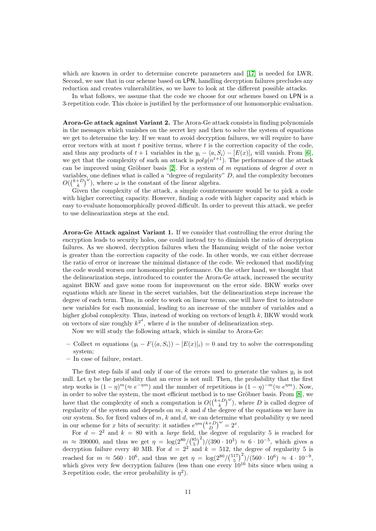which are known in order to determine concrete parameters and [\[17\]](#page-21-17) is needed for LWR. Second, we saw that in our scheme based on LPN, handling decryption failures precludes any reduction and creates vulnerabilities, so we have to look at the different possible attacks.

In what follows, we assume that the code we choose for our schemes based on LPN is a 3-repetition code. This choice is justified by the performance of our homomorphic evaluation.

Arora-Ge attack against Variant 2. The Arora-Ge attack consists in finding polynomials in the messages which vanishes on the secret key and then to solve the system of equations we get to determine the key. If we want to avoid decryption failures, we will require to have error vectors with at most  $t$  positive terms, where  $t$  is the correction capacity of the code, and thus any products of  $t + 1$  variables in the  $y_i - \langle a, S_i \rangle - [E(x)]_i$  will vanish. From [\[6\]](#page-20-1), we get that the complexity of such an attack is  $poly(n^{t+1})$ . The performance of the attack can be improved using Gröbner basis [\[2\]](#page-20-2). For a system of m equations of degree d over n variables, one defines what is called a "degree of regularity" D, and the complexity becomes  $O((\frac{k+D}{k})^{\omega})$ , where  $\omega$  is the constant of the linear algebra.

Given the complexity of the attack, a simple countermeasure would be to pick a code with higher correcting capacity. However, finding a code with higher capacity and which is easy to evaluate homomorphically proved difficult. In order to prevent this attack, we prefer to use delinearization steps at the end.

Arora-Ge Attack against Variant 1. If we consider that controlling the error during the encryption leads to security holes, one could instead try to diminish the ratio of decryption failures. As we showed, decryption failures when the Hamming weight of the noise vector is greater than the correction capacity of the code. In other words, we can either decrease the ratio of error or increase the minimal distance of the code. We reckoned that modifying the code would worsen our homomorphic performance. On the other hand, we thought that the delinearization steps, introduced to counter the Arora-Ge attack, increased the security against BKW and gave some room for improvement on the error side. BKW works over equations which are linear in the secret variables, but the delinearization steps increase the degree of each term. Thus, in order to work on linear terms, one will have first to introduce new variables for each monomial, leading to an increase of the number of variables and a higher global complexity. Thus, instead of working on vectors of length k, BKW would work on vectors of size roughly  $k^{2^d}$ , where d is the number of delinearization step.

Now we will study the following attack, which is similar to Arora-Ge:

- Collect m equations  $(y_i F(\langle a, S_i \rangle) [E(x)]_i) = 0$  and try to solve the corresponding system;
- In case of failure, restart.

The first step fails if and only if one of the errors used to generate the values  $y_i$  is not null. Let  $\eta$  be the probability that an error is not null. Then, the probability that the first step works is  $(1 - \eta)^m (\approx e^{-\eta m})$  and the number of repetitions is  $(1 - \eta)^{-m} (\approx e^{\eta m})$ . Now, in order to solve the system, the most efficient method is to use Gröbner basis. From  $[8]$ , we have that the complexity of such a computation is  $O({k+D \choose k}^{\omega})$ , where D is called degree of regularity of the system and depends on  $m$ ,  $k$  and  $d$  the degree of the equations we have in our system. So, for fixed values of m, k and d, we can determine what probability  $\eta$  we need in our scheme for x bits of security: it satisfies  $e^{\eta m} \binom{k+D}{D}^{\omega} = 2^x$ .

For  $d = 2^2$  and  $k = 80$  with a *large* field, the degree of regularity 5 is reached for  $m \approx 390000$ , and thus we get  $\eta = \log(2^{80}/(\frac{85}{5})^2)/(390 \cdot 10^3) \approx 6 \cdot 10^{-5}$ , which gives a decryption failure every 40 MB. For  $d = 2^2$  and  $k = 512$ , the degree of regularity 5 is reached for  $m \approx 560 \cdot 10^6$ , and thus we get  $\eta = \log(2^{80}/({\frac{517}{5}})^2)/(560 \cdot 10^6) \approx 4 \cdot 10^{-9}$ , which gives very few decryption failures (less than one every  $10^{16}$  bits since when using a 3-repetition code, the error probability is  $\eta^2$ ).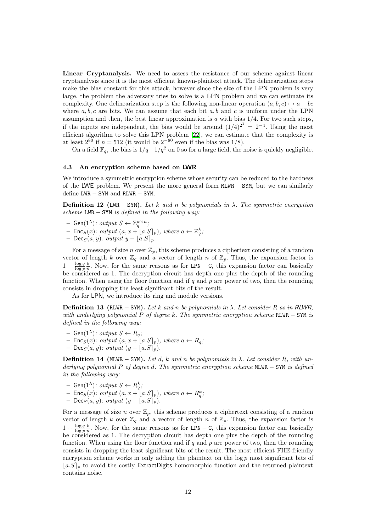Linear Cryptanalysis. We need to assess the resistance of our scheme against linear cryptanalysis since it is the most efficient known-plaintext attack. The delinearization steps make the bias constant for this attack, however since the size of the LPN problem is very large, the problem the adversary tries to solve is a LPN problem and we can estimate its complexity. One delinearization step is the following non-linear operation  $(a, b, c) \mapsto a + bc$ where  $a, b, c$  are bits. We can assume that each bit  $a, b$  and c is uniform under the LPN assumption and then, the best linear approximation is  $a$  with bias  $1/4$ . For two such steps, if the inputs are independent, the bias would be around  $(1/4)^{2^1} = 2^{-4}$ . Using the most efficient algorithm to solve this LPN problem [\[22\]](#page-21-18), we can estimate that the complexity is at least  $2^{80}$  if  $n = 512$  (it would be  $2^{-80}$  even if the bias was 1/8).

On a field  $\mathbb{F}_q$ , the bias is  $1/q-1/q^2$  on 0 so for a large field, the noise is quickly negligible.

#### 4.3 An encryption scheme based on LWR

We introduce a symmetric encryption scheme whose security can be reduced to the hardness of the LWE problem. We present the more general form MLWR − SYM, but we can similarly define LWR – SYM and RLWR – SYM.

**Definition 12 (LWR** – SYM). Let k and n be polynomials in  $\lambda$ . The symmetric encryption  $scheme$  LWR  $-$  SYM is defined in the following way:

- $-$  Gen $(1^{\lambda})$ : output  $S \leftarrow \mathbb{Z}_q^{k \times n}$ ;
- $-$  Enc<sub>S</sub>(x): output  $(a, x + [a.S]_p)$ , where  $a \leftarrow \mathbb{Z}_q^k$ ,
- $-$  Dec<sub>S</sub> $(a, y)$ : *output*  $y \lfloor a.S \rfloor_p$ .

For a message of size n over  $\mathbb{Z}_p$ , this scheme produces a ciphertext consisting of a random vector of length k over  $\mathbb{Z}_q$  and a vector of length n of  $\mathbb{Z}_p$ . Thus, the expansion factor is  $1 + \frac{\log q}{\log p} \frac{k}{n}$ . Now, for the same reasons as for LPN – C, this expansion factor can basically be considered as 1. The decryption circuit has depth one plus the depth of the rounding function. When using the floor function and if q and  $p$  are power of two, then the rounding consists in dropping the least significant bits of the result.

As for LPN, we introduce its ring and module versions.

**Definition 13** (RLWR – SYM). Let k and n be polynomials in  $\lambda$ . Let consider R as in RLWR, with underlying polynomial P of degree k. The symmetric encryption scheme RLWR − SYM is defined in the following way:

- $-$  Gen $(1^{\lambda})$ :  $output\ S \leftarrow R_{q};$
- $-$  Enc<sub>S</sub>(x): output  $(a, x + \lfloor a.S \rfloor_p)$ , where  $a \leftarrow R_q$ ;
- Dec<sub>S</sub>(a, y): output (y −  $[a.S]_p$ ).

**Definition 14** (MLWR – SYM). Let d, k and n be polynomials in  $\lambda$ . Let consider R, with underlying polynomial P of degree d. The symmetric encryption scheme MLWR – SYM is defined in the following way:

- $-$  Gen $(1^{\lambda})$ :  $output \; S \leftarrow R_{q}^{k};$
- $-$  Enc<sub>S</sub>(x): output  $(a, x + [a.S]_p)$ , where  $a \leftarrow R_q^k$ ;
- Dec<sub>S</sub>(a, y): output (y −  $\lfloor a.S\rceil_p$ ).

For a message of size n over  $\mathbb{Z}_p$ , this scheme produces a ciphertext consisting of a random vector of length k over  $\mathbb{Z}_q$  and a vector of length n of  $\mathbb{Z}_p$ . Thus, the expansion factor is  $1 + \frac{\log q}{\log p} \frac{k}{n}$ . Now, for the same reasons as for LPN – C, this expansion factor can basically be considered as 1. The decryption circuit has depth one plus the depth of the rounding function. When using the floor function and if  $q$  and  $p$  are power of two, then the rounding consists in dropping the least significant bits of the result. The most efficient FHE-friendly encryption scheme works in only adding the plaintext on the  $\log p$  most significant bits of  $[a.S]_p$  to avoid the costly ExtractDigits homomorphic function and the returned plaintext contains noise.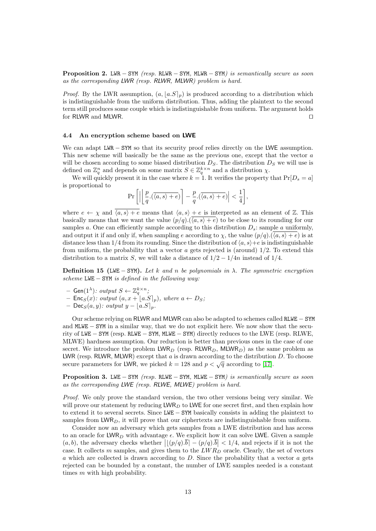Proposition 2. LWR − SYM (resp. RLWR − SYM, MLWR − SYM) is semantically secure as soon as the corresponding LWR (resp. RLWR, MLWR) problem is hard.

*Proof.* By the LWR assumption,  $(a, |a.S|_p)$  is produced according to a distribution which is indistinguishable from the uniform distribution. Thus, adding the plaintext to the second term still produces some couple which is indistinguishable from uniform. The argument holds for RLWR and MLWR.  $\Box$ 

#### 4.4 An encryption scheme based on LWE

We can adapt LWR − SYM so that its security proof relies directly on the LWE assumption. This new scheme will basically be the same as the previous one, except that the vector a will be chosen according to some biased distribution  $D<sub>S</sub>$ . The distribution  $D<sub>S</sub>$  we will use is defined on  $\mathbb{Z}_q^n$  and depends on some matrix  $S \in \mathbb{Z}_q^{k \times n}$  and a distribution  $\chi$ .

We will quickly present it in the case where  $k = 1$ . It verifies the property that  $Pr[D_s = a]$ is proportional to

$$
\Pr\left[\Big|\left\lfloor\frac{p}{q}.\left(\overline{\langle a,s\rangle+e}\right)\right\rceil-\frac{p}{q}.\left(\overline{\langle a,s\rangle+e}\right)\right|<\frac{1}{4}\right],
$$

where  $e \leftarrow \chi$  and  $\overline{\langle a, s \rangle + e}$  means that  $\langle a, s \rangle + e$  is interpreted as an element of Z. This basically means that we want the value  $(p/q)$ . $((a, s) + e)$  to be close to its rounding for our samples a. One can efficiently sample according to this distribution  $D_s$ : sample a uniformly, and output it if and only if, when sampling e according to  $\chi$ , the value  $(p/q)$ . $((a, s) + e)$  is at distance less than  $1/4$  from its rounding. Since the distribution of  $\langle a, s \rangle + e$  is indistinguishable from uniform, the probability that a vector  $a$  gets rejected is (around)  $1/2$ . To extend this distribution to a matrix S, we will take a distance of  $1/2 - 1/4n$  instead of  $1/4$ .

**Definition 15 (LWE** – SYM). Let k and n be polynomials in  $\lambda$ . The symmetric encryption scheme  $LWE - SYM$  is defined in the following way:

- $-$  Gen $(1^{\lambda})$ :  $output\ S\leftarrow\mathbb{Z}_q^{k\times n};$
- $-$  Enc<sub>S</sub> $(x)$ : output  $(a, x + \lfloor a.S\rceil_p)$ , where  $a \leftarrow D_S$ ;
- Dec<sub>S</sub> $(a, y)$ : *output*  $y \lfloor a.S \rfloor_p$ .

Our scheme relying on RLWR and MLWR can also be adapted to schemes called RLWE − SYM and MLWE − SYM in a similar way, that we do not explicit here. We now show that the security of LWE − SYM (resp. RLWE − SYM, MLWE − SYM) directly reduces to the LWE (resp. RLWE, MLWE) hardness assumption. Our reduction is better than previous ones in the case of one secret. We introduce the problem LWR<sub>D</sub> (resp. RLWR<sub>D</sub>, MLWR<sub>D</sub>) as the same problem as LWR (resp. RLWR, MLWR) except that  $a$  is drawn according to the distribution  $D$ . To choose secure parameters for LWR, we picked  $k = 128$  and  $p < \sqrt{q}$  according to [\[17\]](#page-21-17).

<span id="page-12-0"></span>Proposition 3. LWE − SYM (resp. RLWE − SYM, MLWE − SYM) is semantically secure as soon as the corresponding LWE (resp. RLWE, MLWE) problem is hard.

Proof. We only prove the standard version, the two other versions being very similar. We will prove our statement by reducing LWR<sub>D</sub> to LWE for one secret first, and then explain how to extend it to several secrets. Since LWE − SYM basically consists in adding the plaintext to samples from  $LWR<sub>D</sub>$ , it will prove that our ciphertexts are indistinguishable from uniform.

Consider now an adversary which gets samples from a LWE distribution and has access to an oracle for LWR<sub>D</sub> with advantage  $\epsilon$ . We explicit how it can solve LWE. Given a sample  $(a, b)$ , the adversary checks whether  $\left| \lfloor (p/q) \cdot \overline{b} \rfloor - (p/q) \cdot \overline{b} \right| < 1/4$ , and rejects if it is not the case. It collects  $m$  samples, and gives them to the  $LWR_D$  oracle. Clearly, the set of vectors a which are collected is drawn according to D. Since the probability that a vector a gets rejected can be bounded by a constant, the number of LWE samples needed is a constant times  $m$  with high probability.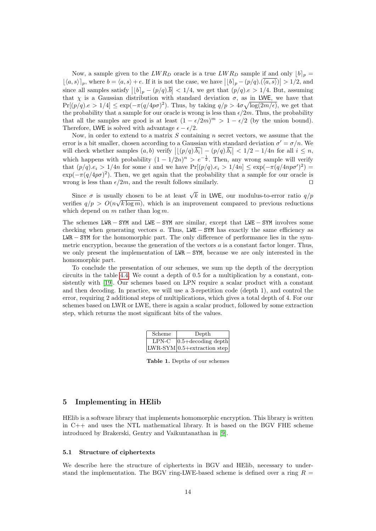Now, a sample given to the  $LWR_D$  oracle is a true  $LWR_D$  sample if and only  $|b|_p =$  $\lfloor \langle a, s \rangle \rfloor_p$ , where  $b = \langle a, s \rangle + e$ . If it is not the case, we have  $\lfloor \lfloor b \rfloor_p - (p/q) \cdot (\overline{\langle a, s \rangle}) \rfloor > 1/2$ , and since all samples satisfy  $\left| \lfloor b \rfloor_p - (p/q) \cdot \overline{b} \right| < 1/4$ , we get that  $(p/q) \cdot e > 1/4$ . But, assuming that  $\chi$  is a Gaussian distribution with standard deviation  $\sigma$ , as in LWE, we have that  $Pr[(p/q).e > 1/4] \leq exp(-\pi (q/4p\sigma)^2)$ . Thus, by taking  $q/p > 4\sigma \sqrt{\log(2m/\epsilon)}$ , we get that the probability that a sample for our oracle is wrong is less than  $\epsilon/2m$ . Thus, the probability that all the samples are good is at least  $(1 - \epsilon/2m)^m > 1 - \epsilon/2$  (by the union bound). Therefore, LWE is solved with advantage  $\epsilon - \epsilon/2$ .

Now, in order to extend to a matrix  $S$  containing  $n$  secret vectors, we assume that the error is a bit smaller, chosen according to a Gaussian with standard deviation  $\sigma' = \sigma/n$ . We will check whether samples  $(a, b)$  verify  $\left| \lfloor (p/q) \cdot \overline{b_i} \rfloor - (p/q) \cdot \overline{b_i} \right| < 1/2 - 1/4n$  for all  $i \leq n$ , which happens with probability  $(1 - 1/2n)^n > e^{-\frac{1}{2}}$ . Then, any wrong sample will verify that  $(p/q).e_i > 1/4n$  for some i and we have  $Pr[(p/q).e_i > 1/4n] \leq \exp(-\pi (q/4np\sigma')^2)$  $\exp(-\pi (q/4p\sigma)^2)$ . Then, we get again that the probability that a sample for our oracle is wrong is less than  $\epsilon/2m$ , and the result follows similarly.

Since  $\sigma$  is usually chosen to be at least  $\sqrt{k}$  in LWE, our modulus-to-error ratio  $q/p$ verifies  $q/p > O(n\sqrt{k \log m})$ , which is an improvement compared to previous reductions which depend on  $m$  rather than  $\log m$ .

The schemes LWR − SYM and LWE − SYM are similar, except that LWE − SYM involves some checking when generating vectors  $a$ . Thus, LWE – SYM has exactly the same efficiency as LWR − SYM for the homomorphic part. The only difference of performance lies in the symmetric encryption, because the generation of the vectors  $a$  is a constant factor longer. Thus, we only present the implementation of LWR − SYM, because we are only interested in the homomorphic part.

To conclude the presentation of our schemes, we sum up the depth of the decryption circuits in the table [4.4.](#page-12-0) We count a depth of 0.5 for a multiplication by a constant, consistently with [\[19\]](#page-21-4). Our schemes based on LPN require a scalar product with a constant and then decoding. In practice, we will use a 3-repetition code (depth 1), and control the error, requiring 2 additional steps of multiplications, which gives a total depth of 4. For our schemes based on LWR or LWE, there is again a scalar product, followed by some extraction step, which returns the most significant bits of the values.

| Scheme         | Depth                           |
|----------------|---------------------------------|
| $\text{LPN-C}$ | $ 0.5 + \text{decoding depth} $ |
|                | $ LWR-SYM 0.5+$ extraction step |

Table 1. Depths of our schemes

# <span id="page-13-0"></span>5 Implementing in HElib

HElib is a software library that implements homomorphic encryption. This library is written in C++ and uses the NTL mathematical library. It is based on the BGV FHE scheme introduced by Brakerski, Gentry and Vaikuntanathan in [\[9\]](#page-21-19).

#### 5.1 Structure of ciphertexts

We describe here the structure of ciphertexts in BGV and HElib, necessary to understand the implementation. The BGV ring-LWE-based scheme is defined over a ring  $R =$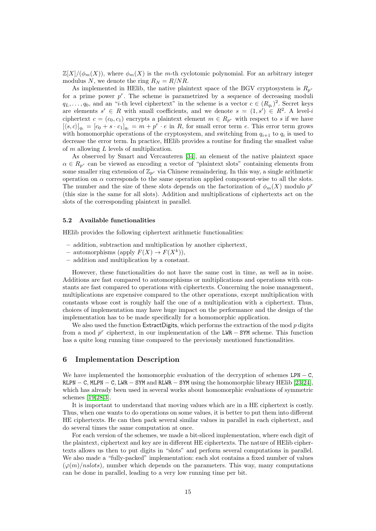$\mathbb{Z}[X]/(\phi_m(X))$ , where  $\phi_m(X)$  is the m-th cyclotomic polynomial. For an arbitrary integer modulus N, we denote the ring  $R_N = R/NR$ .

As implemented in HElib, the native plaintext space of the BGV cryptosystem is  $R_{p^r}$ for a prime power  $p^r$ . The scheme is parametrized by a sequence of decreasing moduli  $q_L, \ldots, q_0$ , and an "*i*-th level ciphertext" in the scheme is a vector  $c \in (R_{q_i})^2$ . Secret keys are elements  $s' \in R$  with small coefficients, and we denote  $s = (1, s') \in R^2$ . A level-i ciphertext  $c = (c_0, c_1)$  encrypts a plaintext element  $m \in R_{p^r}$  with respect to s if we have  $[\langle s,c\rangle]_{q_i} = [c_0 + s \cdot c_1]_{q_i} = m + p^r \cdot e$  in R, for small error term e. This error term grows with homomorphic operations of the cryptosystem, and switching from  $q_{i+1}$  to  $q_i$  is used to decrease the error term. In practice, HElib provides a routine for finding the smallest value of m allowing L levels of multiplication.

As observed by Smart and Vercauteren [\[34\]](#page-22-1), an element of the native plaintext space  $\alpha \in R_{p^r}$  can be viewed as encoding a vector of "plaintext slots" containing elements from some smaller ring extension of  $\mathbb{Z}_{p^r}$  via Chinese remaindering. In this way, a single arithmetic operation on  $\alpha$  corresponds to the same operation applied component-wise to all the slots. The number and the size of these slots depends on the factorization of  $\phi_m(X)$  modulo  $p^r$ (this size is the same for all slots). Addition and multiplications of ciphertexts act on the slots of the corresponding plaintext in parallel.

#### 5.2 Available functionalities

HElib provides the following ciphertext arithmetic functionalities:

- addition, subtraction and multiplication by another ciphertext,
- automorphisms (apply  $F(X) \to F(X^k)$ ),
- addition and multiplication by a constant.

However, these functionalities do not have the same cost in time, as well as in noise. Additions are fast compared to automorphisms or multiplications and operations with constants are fast compared to operations with ciphertexts. Concerning the noise management, multiplications are expensive compared to the other operations, except multiplication with constants whose cost is roughly half the one of a multiplication with a ciphertext. Thus, choices of implementation may have huge impact on the performance and the design of the implementation has to be made specifically for a homomorphic application.

We also used the function ExtractDigits, which performs the extraction of the mod  $p$  digits from a mod  $p^r$  ciphertext, in our implementation of the LWR – SYM scheme. This function has a quite long running time compared to the previously mentioned functionalities.

### 6 Implementation Description

We have implemented the homomorphic evaluation of the decryption of schemes  $LPN - C$ , RLPN – C, MLPN – C, LWR – SYM and RLWR – SYM using the homomorphic library HElib [\[23,](#page-21-20)[24\]](#page-21-21), which has already been used in several works about homomorphic evaluations of symmetric schemes [\[19,](#page-21-4)[28](#page-21-7)[,3\]](#page-20-0).

It is important to understand that moving values which are in a HE ciphertext is costly. Thus, when one wants to do operations on some values, it is better to put them into different HE ciphertexts. He can then pack several similar values in parallel in each ciphertext, and do several times the same computation at once.

For each version of the schemes, we made a bit-sliced implementation, where each digit of the plaintext, ciphertext and key are in different HE ciphertexts. The nature of HElib ciphertexts allows us then to put digits in "slots" and perform several computations in parallel. We also made a "fully-packed" implementation: each slot contains a fixed number of values  $(\varphi(m)/nslots)$ , number which depends on the parameters. This way, many computations can be done in parallel, leading to a very low running time per bit.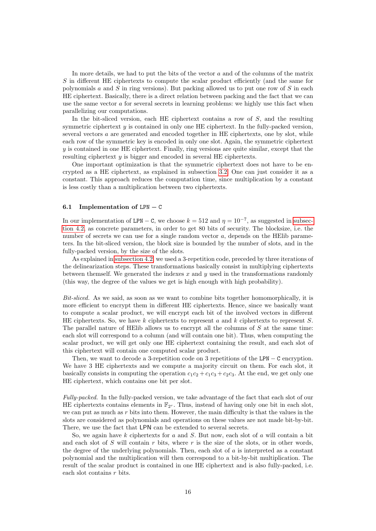In more details, we had to put the bits of the vector  $a$  and of the columns of the matrix S in different HE ciphertexts to compute the scalar product efficiently (and the same for polynomials  $a$  and  $S$  in ring versions). But packing allowed us to put one row of  $S$  in each HE ciphertext. Basically, there is a direct relation between packing and the fact that we can use the same vector  $a$  for several secrets in learning problems: we highly use this fact when parallelizing our computations.

In the bit-sliced version, each HE ciphertext contains a row of  $S$ , and the resulting symmetric ciphertext  $y$  is contained in only one HE ciphertext. In the fully-packed version, several vectors a are generated and encoded together in HE ciphertexts, one by slot, while each row of the symmetric key is encoded in only one slot. Again, the symmetric ciphertext  $y$  is contained in one HE ciphertext. Finally, ring versions are quite similar, except that the resulting ciphertext y is bigger and encoded in several HE ciphertexts.

One important optimization is that the symmetric ciphertext does not have to be encrypted as a HE ciphertext, as explained in subsection [3.2.](#page-6-0) One can just consider it as a constant. This approach reduces the computation time, since multiplication by a constant is less costly than a multiplication between two ciphertexts.

#### 6.1 Implementation of  $LPN - C$

In our implementation of LPN – C, we choose  $k = 512$  and  $\eta = 10^{-7}$ , as suggested in [subsec](#page-9-0)[tion 4.2,](#page-9-0) as concrete parameters, in order to get 80 bits of security. The blocksize, i.e. the number of secrets we can use for a single random vector a, depends on the HElib parameters. In the bit-sliced version, the block size is bounded by the number of slots, and in the fully-packed version, by the size of the slots.

As explained in [subsection 4.2,](#page-9-0) we used a 3-repetition code, preceded by three iterations of the delinearization steps. These transformations basically consist in multiplying ciphertexts between themself. We generated the indexes x and  $y$  used in the transformations randomly (this way, the degree of the values we get is high enough with high probability).

Bit-sliced. As we said, as soon as we want to combine bits together homomorphically, it is more efficient to encrypt them in different HE ciphertexts. Hence, since we basically want to compute a scalar product, we will encrypt each bit of the involved vectors in different HE ciphertexts. So, we have  $k$  ciphertexts to represent  $a$  and  $k$  ciphertexts to represent  $S$ . The parallel nature of HElib allows us to encrypt all the columns of  $S$  at the same time: each slot will correspond to a column (and will contain one bit). Thus, when computing the scalar product, we will get only one HE ciphertext containing the result, and each slot of this ciphertext will contain one computed scalar product.

Then, we want to decode a 3-repetition code on 3 repetitions of the LPN  $-$  C encryption. We have 3 HE ciphertexts and we compute a majority circuit on them. For each slot, it basically consists in computing the operation  $c_1c_2 + c_1c_3 + c_2c_3$ . At the end, we get only one HE ciphertext, which contains one bit per slot.

Fully-packed. In the fully-packed version, we take advantage of the fact that each slot of our HE ciphertexts contains elements in  $\mathbb{F}_{2^r}$ . Thus, instead of having only one bit in each slot, we can put as much as  $r$  bits into them. However, the main difficulty is that the values in the slots are considered as polynomials and operations on these values are not made bit-by-bit. There, we use the fact that LPN can be extended to several secrets.

So, we again have k ciphertexts for a and  $S$ . But now, each slot of a will contain a bit and each slot of  $S$  will contain  $r$  bits, where  $r$  is the size of the slots, or in other words, the degree of the underlying polynomials. Then, each slot of  $a$  is interpreted as a constant polynomial and the multiplication will then correspond to a bit-by-bit multiplication. The result of the scalar product is contained in one HE ciphertext and is also fully-packed, i.e. each slot contains r bits.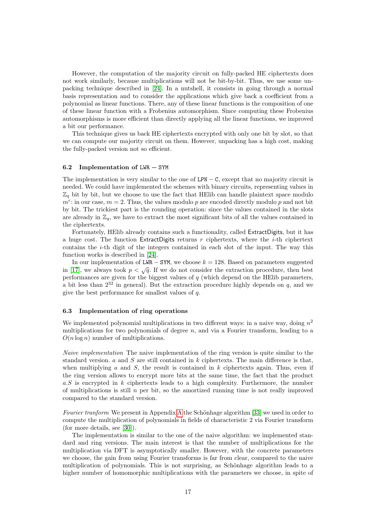However, the computation of the majority circuit on fully-packed HE ciphertexts does not work similarly, because multiplications will not be bit-by-bit. Thus, we use some unpacking technique described in [\[24\]](#page-21-21). In a nutshell, it consists in going through a normal basis representation and to consider the applications which give back a coefficient from a polynomial as linear functions. There, any of these linear functions is the composition of one of these linear function with a Frobenius automorphism. Since computing these Frobenius automorphisms is more efficient than directly applying all the linear functions, we improved a bit our performance.

This technique gives us back HE ciphertexts encrypted with only one bit by slot, so that we can compute our majority circuit on them. However, unpacking has a high cost, making the fully-packed version not so efficient.

#### 6.2 Implementation of LWR − SYM

The implementation is very similar to the one of  $LPN - C$ , except that no majority circuit is needed. We could have implemented the schemes with binary circuits, representing values in  $\mathbb{Z}_q$  bit by bit, but we choose to use the fact that HElib can handle plaintext space modulo  $m<sup>r</sup>$ : in our case,  $m = 2$ . Thus, the values modulo p are encoded directly modulo p and not bit by bit. The trickiest part is the rounding operation: since the values contained in the slots are already in  $\mathbb{Z}_q$ , we have to extract the most significant bits of all the values contained in the ciphertexts.

Fortunately, HElib already contains such a functionality, called ExtractDigits, but it has a huge cost. The function ExtractDigits returns  $r$  ciphertexts, where the  $i$ -th ciphertext contains the  $i$ -th digit of the integers contained in each slot of the input. The way this function works is described in [\[24\]](#page-21-21).

In our implementation of LWR – SYM, we choose  $k = 128$ . Based on parameters suggested in [\[17\]](#page-21-17), we always took  $p < \sqrt{q}$ . If we do not consider the extraction procedure, then best performances are given for the biggest values of  $q$  (which depend on the HElib parameters, a bit less than  $2^{32}$  in general). But the extraction procedure highly depends on q, and we give the best performance for smallest values of  $q$ .

#### 6.3 Implementation of ring operations

We implemented polynomial multiplications in two different ways: in a naive way, doing  $n^2$ multiplications for two polynomials of degree  $n$ , and via a Fourier transform, leading to a  $O(n \log n)$  number of multiplications.

Naive implementation The naive implementation of the ring version is quite similar to the standard version.  $a$  and  $S$  are still contained in  $k$  ciphertexts. The main difference is that, when multiplying  $a$  and  $S$ , the result is contained in  $k$  ciphertexts again. Thus, even if the ring version allows to encrypt more bits at the same time, the fact that the product  $a.S$  is encrypted in k ciphertexts leads to a high complexity. Furthermore, the number of multiplications is still  $n$  per bit, so the amortized running time is not really improved compared to the standard version.

Fourier tranform We present in [A](#page-22-2)ppendix A the Schönhage algorithm [\[33\]](#page-22-3) we used in order to compute the multiplication of polynomials in fields of characteristic 2 via Fourier transform (for more details, see [\[30\]](#page-21-22)).

The implementation is similar to the one of the naive algorithm: we implemented standard and ring versions. The main interest is that the number of multiplications for the multiplication via DFT is asymptotically smaller. However, with the concrete parameters we choose, the gain from using Fourier transforms is far from clear, compared to the naive multiplication of polynomials. This is not surprising, as Schönhage algorithm leads to a higher number of homomorphic multiplications with the parameters we choose, in spite of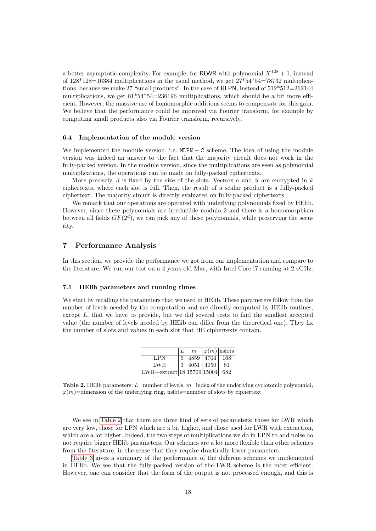a better asymptotic complexity. For example, for RLWR with polynomial  $X^{128} + 1$ , instead of  $128*128=16384$  multiplications in the usual method, we get  $27*54*54=78732$  multiplications, because we make 27 "small products". In the case of RLPN, instead of 512\*512=262144 multiplications, we get  $81*54*54=236196$  multiplications, which should be a bit more efficient. However, the massive use of homomorphic additions seems to compensate for this gain. We believe that the performance could be improved via Fourier transform, for example by computing small products also via Fourier transform, recursively.

#### 6.4 Implementation of the module version

We implemented the module version, i.e.  $MLPN - C$  scheme. The idea of using the module version was indeed an answer to the fact that the majority circuit does not work in the fully-packed version. In the module version, since the multiplications are seen as polynomial multiplications, the operations can be made on fully-packed ciphertexts.

More precisely, d is fixed by the size of the slots. Vectors  $a$  and  $S$  are encrypted in  $k$ ciphertexts, where each slot is full. Then, the result of a scalar product is a fully-packed ciphertext. The majority circuit is directly evaluated on fully-packed ciphertexts.

We remark that our operations are operated with underlying polynomials fixed by HElib. However, since these polynomials are irreducible modulo 2 and there is a homomorphism between all fields  $GF(2<sup>d</sup>)$ , we can pick any of these polynomials, while preserving the security.

# 7 Performance Analysis

In this section, we provide the performance we got from our implementation and compare to the literature. We run our test on a 4 years-old Mac, with Intel Core i7 running at 2.4GHz.

#### 7.1 HElib parameters and running times

We start by recalling the parameters that we used in HElib. These parameters follow from the number of levels needed by the computation and are directly computed by HElib routines, except L, that we have to provide, but we did several tests to find the smallest accepted value (the number of levels needed by HElib can differ from the theoretical one). They fix the number of slots and values in each slot that HE ciphertexts contain.

|                                  |              | m               | $ \varphi(m) $ nslots |
|----------------------------------|--------------|-----------------|-----------------------|
| LPN.                             | $.5^{\circ}$ | 4859 4704       | -168                  |
| LWR.                             |              | 3   4051   4050 | 81                    |
| $ LWR + extract 18 15709 15004 $ |              |                 | 682                   |

<span id="page-17-0"></span>Table 2. HElib parameters:  $L=$ number of levels,  $m=$ index of the underlying cyclotomic polynomial,  $\varphi(m)$ =dimension of the underlying ring, nslots=number of slots by ciphertext

We see in [Table 2](#page-17-0) that there are three kind of sets of parameters: those for LWR which are very low, those for LPN which are a bit higher, and those used for LWR with extraction, which are a lot higher. Indeed, the two steps of multiplications we do in LPN to add noise do not require bigger HElib parameters. Our schemes are a lot more flexible than other schemes from the literature, in the sense that they require drastically lower parameters.

[Table 3](#page-18-0) gives a summary of the performance of the different schemes we implemented in HElib. We see that the fully-packed version of the LWR scheme is the most efficient. However, one can consider that the form of the output is not processed enough, and this is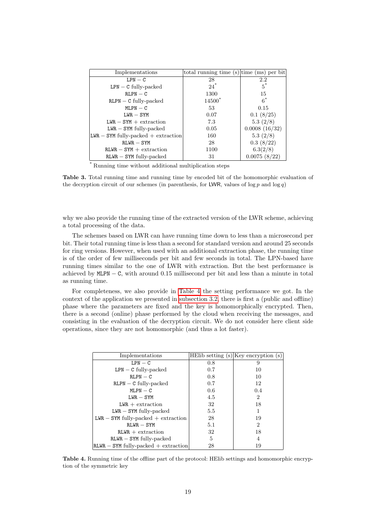| Implementations                       | total running time $(s)$ time $(ms)$ per bit |               |
|---------------------------------------|----------------------------------------------|---------------|
| $LPN - C$                             | 28                                           | 2.2           |
| $LPN - C$ fully-packed                | $24^*$                                       | $5^*$         |
| $RLPN - C$                            | 1300                                         | 15            |
| $RLPN - C$ fully-packed               | 14500 <sup>-1</sup>                          | $6^*$         |
| $MLPN - C$                            | 53                                           | 0.15          |
| $LWR - SYM$                           | 0.07                                         | 0.1~(8/25)    |
| $LWR - SYM +$ extraction              | 7.3                                          | 5.3 $(2/8)$   |
| $LWR - SYM$ fully-packed              | 0.05                                         | 0.0008(16/32) |
| $LWR - SYM$ fully-packed + extraction | 160                                          | 5.3(2/8)      |
| $RLWR - SYM$                          | 28                                           | 0.3(8/22)     |
| $RLWR - SYM + extraction$             | 1100                                         | 6.3(2/8)      |
| $RLWR - SYM$ fully-packed             | 31                                           | 0.0075(8/22)  |

<span id="page-18-0"></span>\* Running time without additional multiplication steps

Table 3. Total running time and running time by encoded bit of the homomorphic evaluation of the decryption circuit of our schemes (in parenthesis, for LWR, values of  $\log p$  and  $\log q$ )

why we also provide the running time of the extracted version of the LWR scheme, achieving a total processing of the data.

The schemes based on LWR can have running time down to less than a microsecond per bit. Their total running time is less than a second for standard version and around 25 seconds for ring versions. However, when used with an additional extraction phase, the running time is of the order of few milliseconds per bit and few seconds in total. The LPN-based have running times similar to the one of LWR with extraction. But the best performance is achieved by  $MLPN - C$ , with around 0.15 millisecond per bit and less than a minute in total as running time.

For completeness, we also provide in [Table 4](#page-18-1) the setting performance we got. In the context of the application we presented in [subsection 3.2,](#page-6-0) there is first a (public and offline) phase where the parameters are fixed and the key is homomorphically encrypted. Then, there is a second (online) phase performed by the cloud when receiving the messages, and consisting in the evaluation of the decryption circuit. We do not consider here client side operations, since they are not homomorphic (and thus a lot faster).

| Implementations                          |     | HElib setting $(s)$ Key encryption $(s)$ |
|------------------------------------------|-----|------------------------------------------|
| $LPN - C$                                | 0.8 | 9                                        |
| $LPN - C$ fully-packed                   | 0.7 | 10                                       |
| $RLPN - C$                               | 0.8 | 10                                       |
| $RLPN - C$ fully-packed                  | 0.7 | 12                                       |
| $MLPN - C$                               | 0.6 | 0.4                                      |
| $LWR - SYM$                              | 4.5 | $\overline{2}$                           |
| $LWR +$ extraction                       | 32  | 18                                       |
| $LWR - SYM$ fully-packed                 | 5.5 |                                          |
| $LWR - SYM$ fully-packed $+$ extraction  | 28  | 19                                       |
| $RLWR - SYM$                             | 5.1 | $\overline{2}$                           |
| $RLWR + extraction$                      | 32  | 18                                       |
| $RLWR - SYM$ fully-packed                | 5   | 4                                        |
| $RLWR - SYM$ fully-packed $+$ extraction | 28  | 19                                       |

<span id="page-18-1"></span>Table 4. Running time of the offline part of the protocol: HElib settings and homomorphic encryption of the symmetric key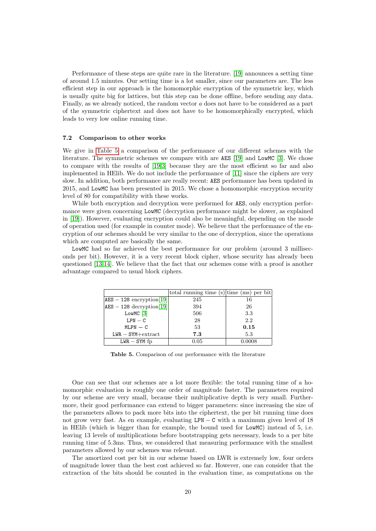Performance of these steps are quite rare in the literature. [\[19\]](#page-21-4) announces a setting time of around 1.5 minutes. Our setting time is a lot smaller, since our parameters are. The less efficient step in our approach is the homomorphic encryption of the symmetric key, which is usually quite big for lattices, but this step can be done offline, before sending any data. Finally, as we already noticed, the random vector a does not have to be considered as a part of the symmetric ciphertext and does not have to be homomorphically encrypted, which leads to very low online running time.

#### 7.2 Comparison to other works

We give in [Table 5](#page-19-0) a comparison of the performance of our different schemes with the literature. The symmetric schemes we compare with are AES [\[19\]](#page-21-4) and LowMC [\[3\]](#page-20-0). We chose to compare with the results of [\[19](#page-21-4)[,3\]](#page-20-0) because they are the most efficient so far and also implemented in HElib. We do not include the performance of [\[11\]](#page-21-2) since the ciphers are very slow. In addition, both performance are really recent: AES performance has been updated in 2015, and LowMC has been presented in 2015. We chose a homomorphic encryption security level of 80 for compatibility with these works.

While both encryption and decryption were performed for AES, only encryption performance were given concerning LowMC (decryption performance might be slower, as explained in [\[19\]](#page-21-4)). However, evaluating encryption could also be meaningful, depending on the mode of operation used (for example in counter mode). We believe that the performance of the encryption of our schemes should be very similar to the one of decryption, since the operations which are computed are basically the same.

LowMC had so far achieved the best performance for our problem (around 3 milliseconds per bit). However, it is a very recent block cipher, whose security has already been questioned [\[13,](#page-21-5)[14\]](#page-21-6). We believe that the fact that our schemes come with a proof is another advantage compared to usual block ciphers.

|                              | total running time $(s)$ time $(ms)$ per bit |        |
|------------------------------|----------------------------------------------|--------|
| $ AES - 128$ encryption [19] | 245                                          | 16     |
| $AES - 128$ decryption[19]   | 394                                          | 26     |
| LowMC $[3]$                  | 506                                          | 3.3    |
| $LPN - C$                    | 28                                           | 2.2    |
| $MLPN - C$                   | 53                                           | 0.15   |
| $LWR - SYM + extract$        | 7.3                                          | 5.3    |
| $LWR - SYM$ fp               | 0.05                                         | 0.0008 |

<span id="page-19-0"></span>Table 5. Comparison of our performance with the literature

One can see that our schemes are a lot more flexible: the total running time of a homomorphic evaluation is roughly one order of magnitude faster. The parameters required by our scheme are very small, because their multiplicative depth is very small. Furthermore, their good performance can extend to bigger parameters: since increasing the size of the parameters allows to pack more bits into the ciphertext, the per bit running time does not grow very fast. As en example, evaluating LPN − C with a maximum given level of 18 in HElib (which is bigger than for example, the bound used for LowMC) instead of 5, i.e. leaving 13 levels of multiplications before bootstrapping gets necessary, leads to a per bite running time of 5.3ms. Thus, we considered that measuring performance with the smallest parameters allowed by our schemes was relevant.

The amortized cost per bit in our scheme based on LWR is extremely low, four orders of magnitude lower than the best cost achieved so far. However, one can consider that the extraction of the bits should be counted in the evaluation time, as computations on the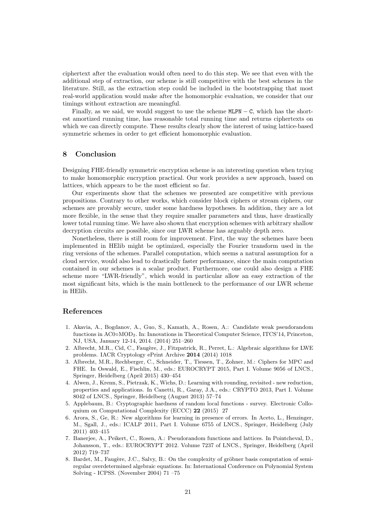ciphertext after the evaluation would often need to do this step. We see that even with the additional step of extraction, our scheme is still competitive with the best schemes in the literature. Still, as the extraction step could be included in the bootstrapping that most real-world application would make after the homomorphic evaluation, we consider that our timings without extraction are meaningful.

Finally, as we said, we would suggest to use the scheme MLPN − C, which has the shortest amortized running time, has reasonable total running time and returns ciphertexts on which we can directly compute. These results clearly show the interest of using lattice-based symmetric schemes in order to get efficient homomorphic evaluation.

## 8 Conclusion

Designing FHE-friendly symmetric encryption scheme is an interesting question when trying to make homomorphic encryption practical. Our work provides a new approach, based on lattices, which appears to be the most efficient so far.

Our experiments show that the schemes we presented are competitive with previous propositions. Contrary to other works, which consider block ciphers or stream ciphers, our schemes are provably secure, under some hardness hypotheses. In addition, they are a lot more flexible, in the sense that they require smaller parameters and thus, have drastically lower total running time. We have also shown that encryption schemes with arbitrary shallow decryption circuits are possible, since our LWR scheme has arguably depth zero.

Nonetheless, there is still room for improvement. First, the way the schemes have been implemented in HElib might be optimized, especially the Fourier transform used in the ring versions of the schemes. Parallel computation, which seems a natural assumption for a cloud service, would also lead to drastically faster performance, since the main computation contained in our schemes is a scalar product. Furthermore, one could also design a FHE scheme more "LWR-friendly", which would in particular allow an easy extraction of the most significant bits, which is the main bottleneck to the performance of our LWR scheme in HElib.

### References

- <span id="page-20-4"></span>1. Akavia, A., Bogdanov, A., Guo, S., Kamath, A., Rosen, A.: Candidate weak pseudorandom functions in AC0◦MOD2. In: Innovations in Theoretical Computer Science, ITCS'14, Princeton, NJ, USA, January 12-14, 2014. (2014) 251–260
- <span id="page-20-2"></span>2. Albrecht, M.R., Cid, C., Faugère, J., Fitzpatrick, R., Perret, L.: Algebraic algorithms for LWE problems. IACR Cryptology ePrint Archive 2014 (2014) 1018
- <span id="page-20-0"></span>3. Albrecht, M.R., Rechberger, C., Schneider, T., Tiessen, T., Zohner, M.: Ciphers for MPC and FHE. In Oswald, E., Fischlin, M., eds.: EUROCRYPT 2015, Part I. Volume 9056 of LNCS., Springer, Heidelberg (April 2015) 430–454
- <span id="page-20-6"></span>4. Alwen, J., Krenn, S., Pietrzak, K., Wichs, D.: Learning with rounding, revisited - new reduction, properties and applications. In Canetti, R., Garay, J.A., eds.: CRYPTO 2013, Part I. Volume 8042 of LNCS., Springer, Heidelberg (August 2013) 57–74
- <span id="page-20-3"></span>5. Applebaum, B.: Cryptographic hardness of random local functions - survey. Electronic Colloquium on Computational Complexity (ECCC) 22 (2015) 27
- <span id="page-20-1"></span>6. Arora, S., Ge, R.: New algorithms for learning in presence of errors. In Aceto, L., Henzinger, M., Sgall, J., eds.: ICALP 2011, Part I. Volume 6755 of LNCS., Springer, Heidelberg (July 2011) 403–415
- <span id="page-20-5"></span>7. Banerjee, A., Peikert, C., Rosen, A.: Pseudorandom functions and lattices. In Pointcheval, D., Johansson, T., eds.: EUROCRYPT 2012. Volume 7237 of LNCS., Springer, Heidelberg (April 2012) 719–737
- <span id="page-20-7"></span>8. Bardet, M., Faugère, J.C., Salvy, B.: On the complexity of gröbner basis computation of semiregular overdetermined algebraic equations. In: International Conference on Polynomial System Solving - ICPSS. (November 2004) 71 –75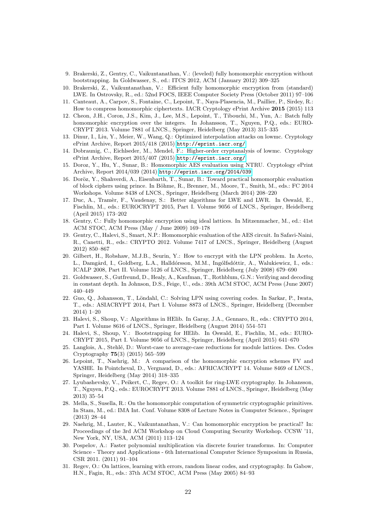- <span id="page-21-19"></span>9. Brakerski, Z., Gentry, C., Vaikuntanathan, V.: (leveled) fully homomorphic encryption without bootstrapping. In Goldwasser, S., ed.: ITCS 2012, ACM (January 2012) 309–325
- <span id="page-21-15"></span>10. Brakerski, Z., Vaikuntanathan, V.: Efficient fully homomorphic encryption from (standard) LWE. In Ostrovsky, R., ed.: 52nd FOCS, IEEE Computer Society Press (October 2011) 97–106
- <span id="page-21-2"></span>11. Canteaut, A., Carpov, S., Fontaine, C., Lepoint, T., Naya-Plasencia, M., Paillier, P., Sirdey, R.: How to compress homomorphic ciphertexts. IACR Cryptology ePrint Archive 2015 (2015) 113
- <span id="page-21-8"></span>12. Cheon, J.H., Coron, J.S., Kim, J., Lee, M.S., Lepoint, T., Tibouchi, M., Yun, A.: Batch fully homomorphic encryption over the integers. In Johansson, T., Nguyen, P.Q., eds.: EURO-CRYPT 2013. Volume 7881 of LNCS., Springer, Heidelberg (May 2013) 315–335
- <span id="page-21-5"></span>13. Dinur, I., Liu, Y., Meier, W., Wang, Q.: Optimized interpolation attacks on lowmc. Cryptology ePrint Archive, Report 2015/418 (2015) <http://eprint.iacr.org/>.
- <span id="page-21-6"></span>14. Dobraunig, C., Eichlseder, M., Mendel, F.: Higher-order cryptanalysis of lowmc. Cryptology ePrint Archive, Report 2015/407 (2015) <http://eprint.iacr.org/>.
- <span id="page-21-9"></span>15. Doroz, Y., Hu, Y., Sunar, B.: Homomorphic AES evaluation using NTRU. Cryptology ePrint Archive, Report 2014/039 (2014) <http://eprint.iacr.org/2014/039>.
- <span id="page-21-11"></span>16. Doröz, Y., Shahverdi, A., Eisenbarth, T., Sunar, B.: Toward practical homomorphic evaluation of block ciphers using prince. In Böhme, R., Brenner, M., Moore, T., Smith, M., eds.: FC 2014 Workshops. Volume 8438 of LNCS., Springer, Heidelberg (March 2014) 208–220
- <span id="page-21-17"></span>17. Duc, A., Tram`er, F., Vaudenay, S.: Better algorithms for LWE and LWR. In Oswald, E., Fischlin, M., eds.: EUROCRYPT 2015, Part I. Volume 9056 of LNCS., Springer, Heidelberg (April 2015) 173–202
- <span id="page-21-0"></span>18. Gentry, C.: Fully homomorphic encryption using ideal lattices. In Mitzenmacher, M., ed.: 41st ACM STOC, ACM Press (May / June 2009) 169–178
- <span id="page-21-4"></span>19. Gentry, C., Halevi, S., Smart, N.P.: Homomorphic evaluation of the AES circuit. In Safavi-Naini, R., Canetti, R., eds.: CRYPTO 2012. Volume 7417 of LNCS., Springer, Heidelberg (August 2012) 850–867
- <span id="page-21-3"></span>20. Gilbert, H., Robshaw, M.J.B., Seurin, Y.: How to encrypt with the LPN problem. In Aceto, L., Damgård, I., Goldberg, L.A., Halldórsson, M.M., Ingólfsdóttir, A., Walukiewicz, I., eds.: ICALP 2008, Part II. Volume 5126 of LNCS., Springer, Heidelberg (July 2008) 679–690
- <span id="page-21-12"></span>21. Goldwasser, S., Gutfreund, D., Healy, A., Kaufman, T., Rothblum, G.N.: Verifying and decoding in constant depth. In Johnson, D.S., Feige, U., eds.: 39th ACM STOC, ACM Press (June 2007) 440–449
- <span id="page-21-18"></span>22. Guo, Q., Johansson, T., Löndahl, C.: Solving LPN using covering codes. In Sarkar, P., Iwata, T., eds.: ASIACRYPT 2014, Part I. Volume 8873 of LNCS., Springer, Heidelberg (December 2014) 1–20
- <span id="page-21-20"></span>23. Halevi, S., Shoup, V.: Algorithms in HElib. In Garay, J.A., Gennaro, R., eds.: CRYPTO 2014, Part I. Volume 8616 of LNCS., Springer, Heidelberg (August 2014) 554–571
- <span id="page-21-21"></span>24. Halevi, S., Shoup, V.: Bootstrapping for HElib. In Oswald, E., Fischlin, M., eds.: EURO-CRYPT 2015, Part I. Volume 9056 of LNCS., Springer, Heidelberg (April 2015) 641–670
- <span id="page-21-16"></span>25. Langlois, A., Stehl´e, D.: Worst-case to average-case reductions for module lattices. Des. Codes Cryptography 75(3) (2015) 565–599
- <span id="page-21-10"></span>26. Lepoint, T., Naehrig, M.: A comparison of the homomorphic encryption schemes FV and YASHE. In Pointcheval, D., Vergnaud, D., eds.: AFRICACRYPT 14. Volume 8469 of LNCS., Springer, Heidelberg (May 2014) 318–335
- <span id="page-21-14"></span>27. Lyubashevsky, V., Peikert, C., Regev, O.: A toolkit for ring-LWE cryptography. In Johansson, T., Nguyen, P.Q., eds.: EUROCRYPT 2013. Volume 7881 of LNCS., Springer, Heidelberg (May 2013) 35–54
- <span id="page-21-7"></span>28. Mella, S., Susella, R.: On the homomorphic computation of symmetric cryptographic primitives. In Stam, M., ed.: IMA Int. Conf. Volume 8308 of Lecture Notes in Computer Science., Springer (2013) 28–44
- <span id="page-21-1"></span>29. Naehrig, M., Lauter, K., Vaikuntanathan, V.: Can homomorphic encryption be practical? In: Proceedings of the 3rd ACM Workshop on Cloud Computing Security Workshop. CCSW '11, New York, NY, USA, ACM (2011) 113–124
- <span id="page-21-22"></span>30. Pospelov, A.: Faster polynomial multiplication via discrete fourier transforms. In: Computer Science - Theory and Applications - 6th International Computer Science Symposium in Russia, CSR 2011. (2011) 91–104
- <span id="page-21-13"></span>31. Regev, O.: On lattices, learning with errors, random linear codes, and cryptography. In Gabow, H.N., Fagin, R., eds.: 37th ACM STOC, ACM Press (May 2005) 84–93